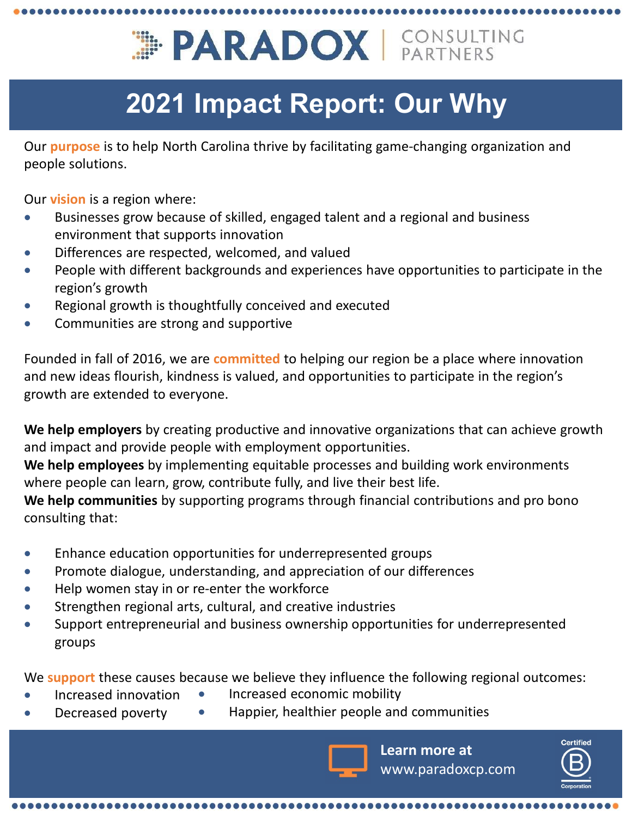# **OUR ANDOX | CONSULTING**<br>
Our purpose is to help North Carolina thrive by facilitating game-changing organization and<br>
people solutions.<br>
Our vision is a region where:<br>
• Businesses grow because of skilled, engaged talent **Example 18 Follow PEAR ADOX**<br> **EXADOX** CONS<br>
Our purpose is to help North Carolina thrive by facilitating game-changi<br>
people solutions.<br>
Our vision is a region where:<br>
• Businesses grow because of skilled, engaged talent

# 2021 Impact Report: Our Why

people solutions.

- Businesses grow because of skilled, engaged talent and a regional and business environment that supports innovation
- Differences are respected, welcomed, and valued
- People with different backgrounds and experiences have opportunities to participate in the region's growth
- Regional growth is thoughtfully conceived and executed
- Communities are strong and supportive

Founded in fall of 2016, we are committed to helping our region be a place where innovation and new ideas flourish, kindness is valued, and opportunities to participate in the region's growth are extended to everyone.

We help employers by creating productive and innovative organizations that can achieve growth and impact and provide people with employment opportunities.

We help employees by implementing equitable processes and building work environments where people can learn, grow, contribute fully, and live their best life.

We help communities by supporting programs through financial contributions and pro bono consulting that:

- Enhance education opportunities for underrepresented groups
- Promote dialogue, understanding, and appreciation of our differences
- Help women stay in or re-enter the workforce
- Strengthen regional arts, cultural, and creative industries
- Support entrepreneurial and business ownership opportunities for underrepresented groups

We **support** these causes because we believe they influence the following regional outcomes:

- Increased innovation Increased economic mobility
	- Decreased poverty Happier, healthier people and communities



Learn more at www.paradoxcp.com

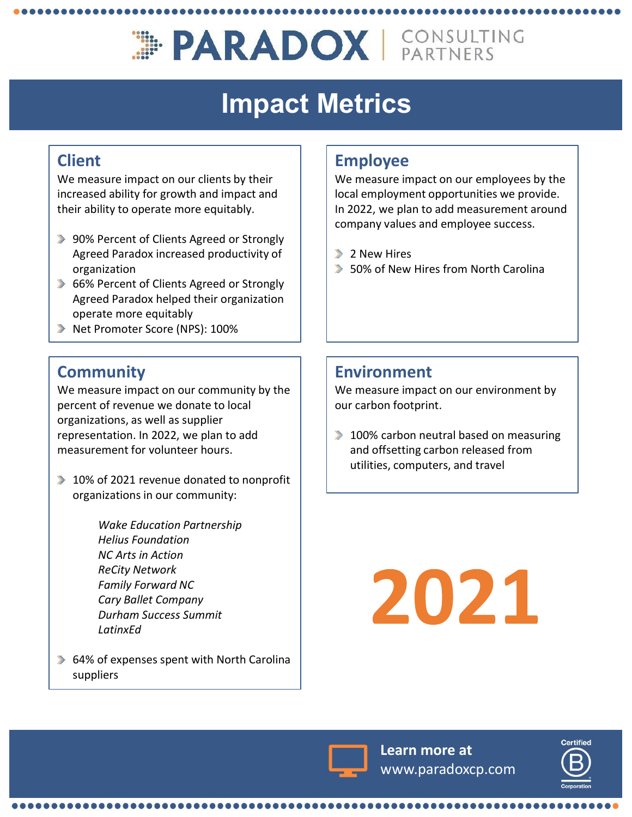# **EPARADOX | CONSULTING**

# Impact Metrics

#### Client

We measure impact on our clients by their increased ability for growth and impact and their ability to operate more equitably.

- 90% Percent of Clients Agreed or Strongly Agreed Paradox increased productivity of organization
- 66% Percent of Clients Agreed or Strongly Agreed Paradox helped their organization operate more equitably
- Net Promoter Score (NPS): 100%

### **Community**

We measure impact on our community by the percent of revenue we donate to local organizations, as well as supplier representation. In 2022, we plan to add measurement for volunteer hours.

- 10% of 2021 revenue donated to nonprofit organizations in our community:
- Wake Education Partnership Helius Foundation NC Arts in Action ate more equitably<br>
Promoter Score (NPS): 100%<br> **nunity**<br>
stare impact on our community by the<br>
of revenue we donate to local<br>
totions, as well as supplier<br>
tration. In 2022, we plan to add<br>
ement for volunteer hours.<br>
of Family Forward NC Cary Ballet Company Durham Success Summit LatinxEd
- 64% of expenses spent with North Carolina suppliers

\_\_\_\_\_\_\_\_\_\_\_\_\_\_\_\_\_\_\_\_\_\_\_\_\_\_\_\_\_\_

#### Employee

We measure impact on our employees by the local employment opportunities we provide. In 2022, we plan to add measurement around company values and employee success.

- **2** New Hires
- $\blacktriangleright$  50% of New Hires from North Carolina

#### Environment

We measure impact on our environment by our carbon footprint.

 $\blacktriangleright$  100% carbon neutral based on measuring and offsetting carbon released from utilities, computers, and travel





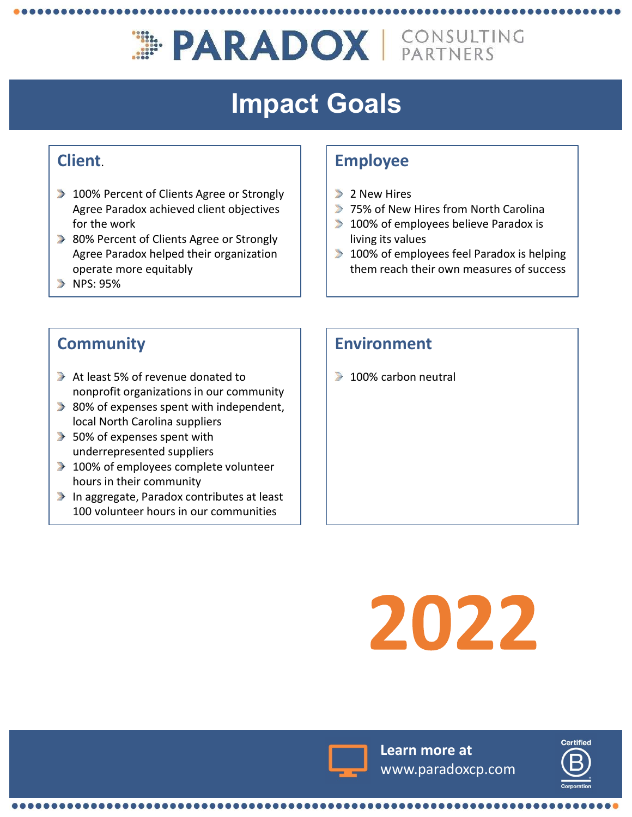# **EPARADOX | CONSULTING**

# Impact Goals

#### Client.

- 100% Percent of Clients Agree or Strongly Agree Paradox achieved client objectives for the work
- 80% Percent of Clients Agree or Strongly Agree Paradox helped their organization operate more equitably
- $NPS: 95%$

#### Employee

- $\triangleright$  2 New Hires
- **75% of New Hires from North Carolina**
- $\blacktriangleright$  100% of employees believe Paradox is living its values
- $\blacktriangleright$  100% of employees feel Paradox is helping them reach their own measures of success

#### **Community**

- At least 5% of revenue donated to nonprofit organizations in our community
- $\triangleright$  80% of expenses spent with independent, local North Carolina suppliers
- **50% of expenses spent with** underrepresented suppliers
- $\blacktriangleright$  100% of employees complete volunteer hours in their community
- In aggregate, Paradox contributes at least 100 volunteer hours in our communities

**........** 

#### Environment

 $\blacktriangleright$  100% carbon neutral

# 2022



Learn more at www.paradoxcp.com